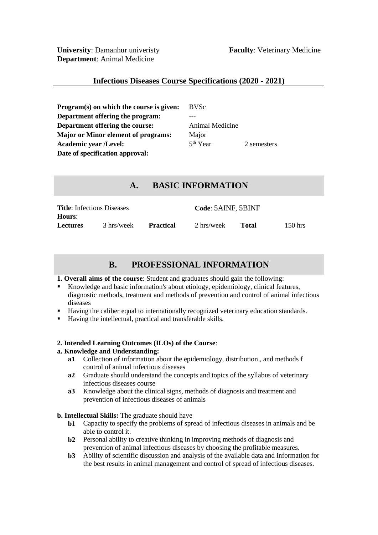**University**: Damanhur univeristy **Faculty**: Veterinary Medicine **Department**: Animal Medicine

# **Infectious Diseases Course Specifications (2020 - 2021)**

**Program(s) on which the course is given:** BVSc **Department offering the program:** --- **Department offering the course:** Animal Medicine **Major or Minor element of programs:** Major **Academic year /Level:** 5<sup>th</sup> Year **Date of specification approval:**

2 semesters

# **A. BASIC INFORMATION**

| <b>Title:</b> Infectious Diseases |            |                  | Code: 5AINF, 5BINF |       |           |
|-----------------------------------|------------|------------------|--------------------|-------|-----------|
| <b>Hours:</b>                     |            |                  |                    |       |           |
| <b>Lectures</b>                   | 3 hrs/week | <b>Practical</b> | 2 hrs/week         | Total | $150$ hrs |

# **B. PROFESSIONAL INFORMATION**

#### **1. Overall aims of the course**: Student and graduates should gain the following:

- Knowledge and basic information's about etiology, epidemiology, clinical features, diagnostic methods, treatment and methods of prevention and control of animal infectious diseases
- Having the caliber equal to internationally recognized veterinary education standards.
- Having the intellectual, practical and transferable skills.

# **2. Intended Learning Outcomes (ILOs) of the Course**:

# **a. Knowledge and Understanding:**

- **a1** Collection of information about the epidemiology, distribution , and methods f control of animal infectious diseases
- **a2** Graduate should understand the concepts and topics of the syllabus of veterinary infectious diseases course
- **a3** Knowledge about the clinical signs, methods of diagnosis and treatment and prevention of infectious diseases of animals

# **b. Intellectual Skills:** The graduate should have

- **b1** Capacity to specify the problems of spread of infectious diseases in animals and be able to control it.
- **b2** Personal ability to creative thinking in improving methods of diagnosis and prevention of animal infectious diseases by choosing the profitable measures.
- **b3** Ability of scientific discussion and analysis of the available data and information for the best results in animal management and control of spread of infectious diseases.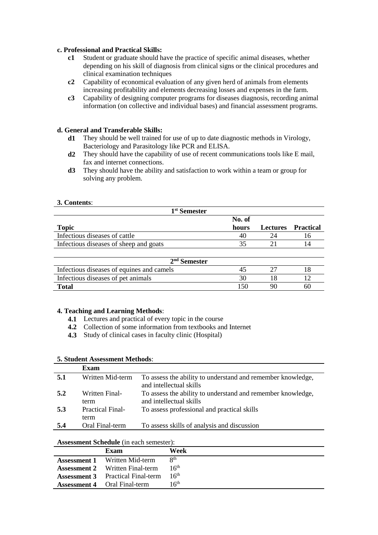#### **c. Professional and Practical Skills:**

- **c1** Student or graduate should have the practice of specific animal diseases, whether depending on his skill of diagnosis from clinical signs or the clinical procedures and clinical examination techniques
- **c2** Capability of economical evaluation of any given herd of animals from elements increasing profitability and elements decreasing losses and expenses in the farm.
- **c3** Capability of designing computer programs for diseases diagnosis, recording animal information (on collective and individual bases) and financial assessment programs.

#### **d. General and Transferable Skills:**

- **d1** They should be well trained for use of up to date diagnostic methods in Virology, Bacteriology and Parasitology like PCR and ELISA.
- **d2** They should have the capability of use of recent communications tools like E mail, fax and internet connections.
- **d3** They should have the ability and satisfaction to work within a team or group for solving any problem.

#### **3. Contents**:

| 1 <sup>st</sup> Semester               |        |    |                           |
|----------------------------------------|--------|----|---------------------------|
|                                        | No. of |    |                           |
| <b>Topic</b>                           | hours  |    | <b>Lectures</b> Practical |
| Infectious diseases of cattle          | 40     | 24 |                           |
| Infectious diseases of sheep and goats |        |    |                           |
|                                        |        |    |                           |

| $2nd$ Semester                            |  |    |    |  |
|-------------------------------------------|--|----|----|--|
| Infectious diseases of equines and camels |  |    |    |  |
| Infectious diseases of pet animals        |  |    |    |  |
| Total                                     |  | Qſ | 60 |  |

#### **4. Teaching and Learning Methods**:

- **4.1** Lectures and practical of every topic in the course
- **4.2** Collection of some information from textbooks and Internet
- **4.3** Study of clinical cases in faculty clinic (Hospital)

#### **5. Student Assessment Methods**: **Exam**

|     | Lxaiii                          |                                                                                        |
|-----|---------------------------------|----------------------------------------------------------------------------------------|
| 5.1 | Written Mid-term                | To assess the ability to understand and remember knowledge,<br>and intellectual skills |
| 5.2 | Written Final-<br>term          | To assess the ability to understand and remember knowledge,<br>and intellectual skills |
| 5.3 | <b>Practical Final-</b><br>term | To assess professional and practical skills                                            |
| 5.4 | Oral Final-term                 | To assess skills of analysis and discussion                                            |

#### **Assessment Schedule** (in each semester):

| Exam                                     | Week                     |
|------------------------------------------|--------------------------|
| <b>Assessment 1</b> Written Mid-term     | $\mathsf{R}^{\text{th}}$ |
| <b>Assessment 2</b> Written Final-term   | 16 <sup>th</sup>         |
| <b>Assessment 3</b> Practical Final-term | 16 <sup>th</sup>         |
| <b>Assessment 4</b> Oral Final-term      | 16 <sup>th</sup>         |
|                                          |                          |